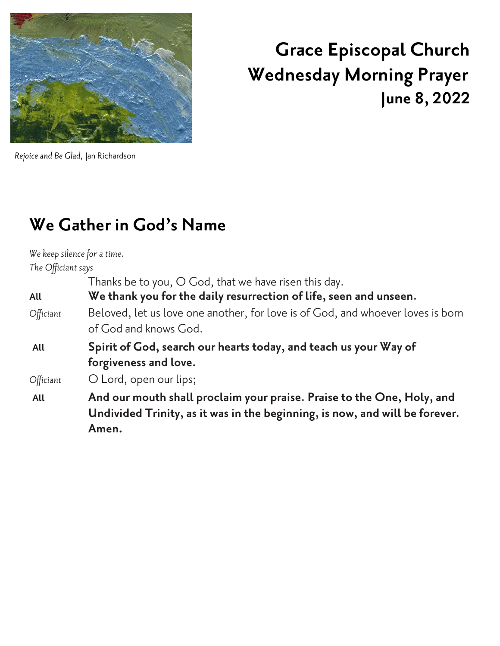

# **Grace Episcopal Church Wednesday Morning Prayer June 8, 2022**

*Rejoice and Be Glad,* Jan Richardson

# **We Gather in God's Name**

*We keep silence for a time. The Officiant says*

Thanks be to you, O God, that we have risen this day.

**All We thank you for the daily resurrection of life, seen and unseen.**

- *Officiant* Beloved, let us love one another, for love is of God, and whoever loves is born of God and knows God.
- **All Spirit of God, search our hearts today,and teach us your Way of forgiveness and love.**

*Officiant* O Lord, open our lips;

**All And our mouth shall proclaim your praise. Praise to the One, Holy, and Undivided Trinity, as it was in the beginning, is now, and will be forever. Amen.**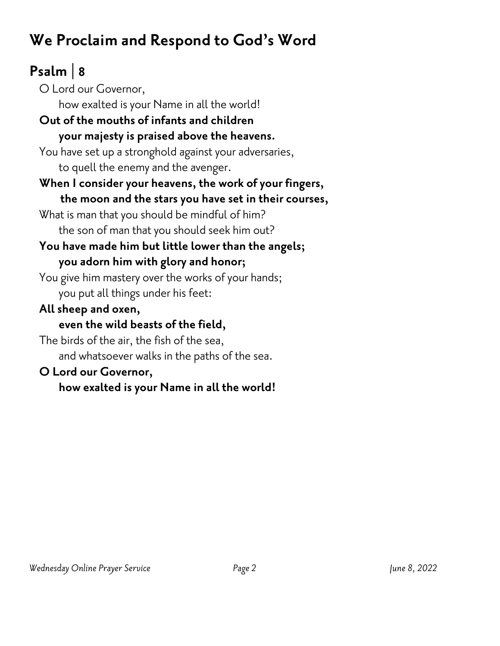# **We Proclaim and Respond to God's Word**

# **Psalm | 8**

O Lord our Governor, how exalted is your Name in all the world! **Out of the mouths of infants and children your majesty is praised above the heavens.** You have set up a stronghold against your adversaries, to quell the enemy and the avenger. **When I consider your heavens, the work of your fingers, the moon and the stars you have set in their courses,** What is man that you should be mindful of him? the son of man that you should seek him out? **You have made him but little lower than the angels; you adorn him with glory and honor;** You give him mastery over the works of your hands; you put all things under his feet: **All sheep and oxen, even the wild beasts of the field,** The birds of the air, the fish of the sea, and whatsoever walks in the paths of the sea.

#### **O Lord our Governor,**

**how exalted is your Name in all the world!**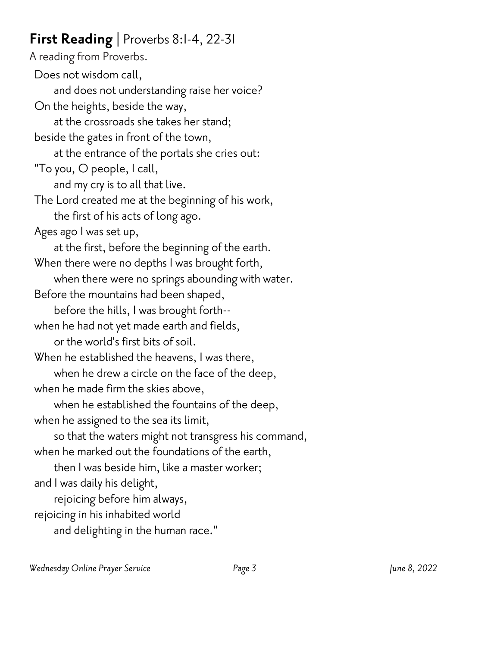#### **First Reading |** Proverbs 8:1-4, 22-31

A reading from Proverbs. Does not wisdom call, and does not understanding raise her voice? On the heights, beside the way, at the crossroads she takes her stand; beside the gates in front of the town, at the entrance of the portals she cries out: "To you, O people, I call, and my cry is to all that live. The Lord created me at the beginning of his work, the first of his acts of long ago. Ages ago I was set up, at the first, before the beginning of the earth. When there were no depths I was brought forth, when there were no springs abounding with water. Before the mountains had been shaped, before the hills, I was brought forth- when he had not yet made earth and fields, or the world's first bits of soil. When he established the heavens, I was there, when he drew a circle on the face of the deep, when he made firm the skies above, when he established the fountains of the deep, when he assigned to the sea its limit, so that the waters might not transgress his command, when he marked out the foundations of the earth, then I was beside him, like a master worker; and I was daily his delight, rejoicing before him always, rejoicing in his inhabited world and delighting in the human race."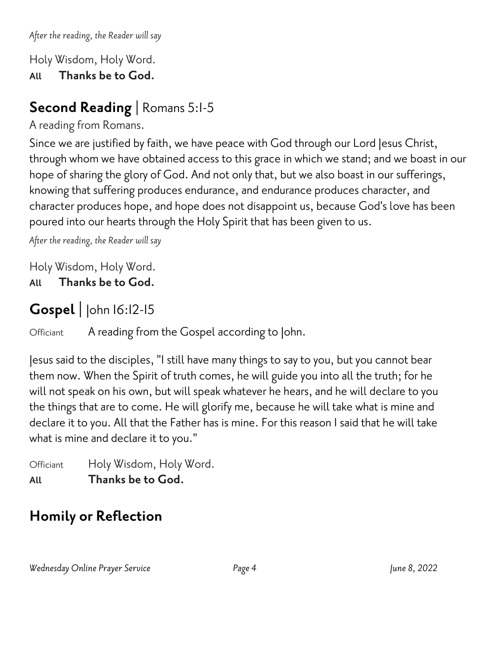*After the reading, the Reader will say*

Holy Wisdom, Holy Word.

**All Thanks be to God.**

### **Second Reading |** Romans 5:1-5

A reading from Romans.

Since we are justified by faith, we have peace with God through our Lord Jesus Christ, through whom we have obtained access to this grace in which we stand; and we boast in our hope of sharing the glory of God. And not only that, but we also boast in our sufferings, knowing that suffering produces endurance, and endurance produces character, and character produces hope, and hope does not disappoint us, because God's love has been poured into our hearts through the Holy Spirit that has been given to us.

*After the reading, the Reader will say*

Holy Wisdom, Holy Word.

**All Thanks be to God.**

### **Gospel |** John 16:12-15

Officiant A reading from the Gospel according to John.

Jesus said to the disciples, "I still have many things to say to you, but you cannot bear them now. When the Spirit of truth comes, he will guide you into all the truth; for he will not speak on his own, but will speak whatever he hears, and he will declare to you the things that are to come. He will glorify me, because he will take what is mine and declare it to you. All that the Father has is mine. For this reason I said that he will take what is mine and declare it to you."

Officiant Holy Wisdom, Holy Word. **All Thanks be to God.**

## **Homily or Reflection**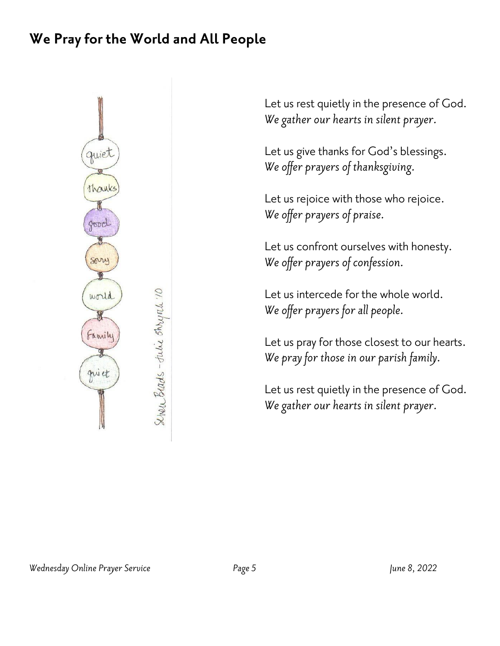#### **We Pray for the World and All People**



Let us rest quietly in the presence of God. *We gather our hearts in silent prayer.*

Let us give thanks for God's blessings. *We offer prayers of thanksgiving.*

Let us rejoice with those who rejoice. *We offer prayers of praise.*

Let us confront ourselves with honesty. *We offer prayers of confession.*

Let us intercede for the whole world. *We offer prayers for all people.*

Let us pray for those closest to our hearts. *We pray for those in our parish family.*

Let us rest quietly in the presence of God. *We gather our hearts in silent prayer.*